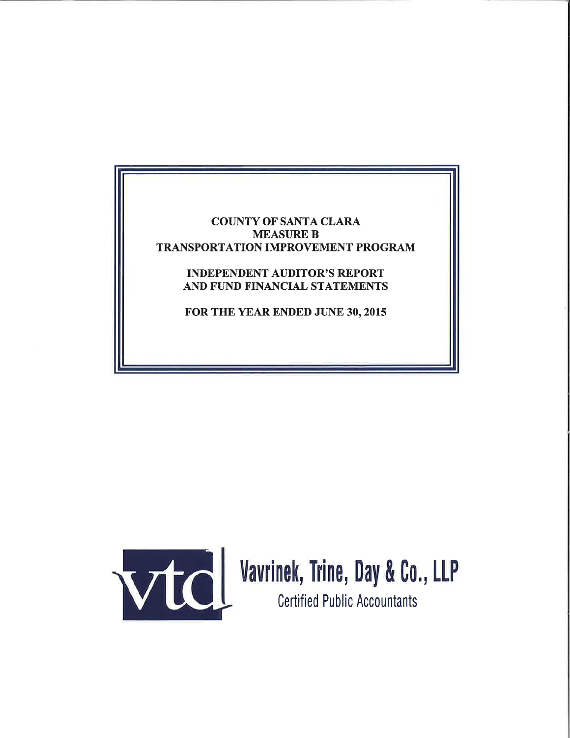# INDEPENDENT AUDITOR'S REPORT AND FUND FINANCIAL STATEMENTS

FOR THE YEAR ENDED JUNE 30, 2015



# vavrinek, Trine, Day & Go., LLP

Certified Public Accountants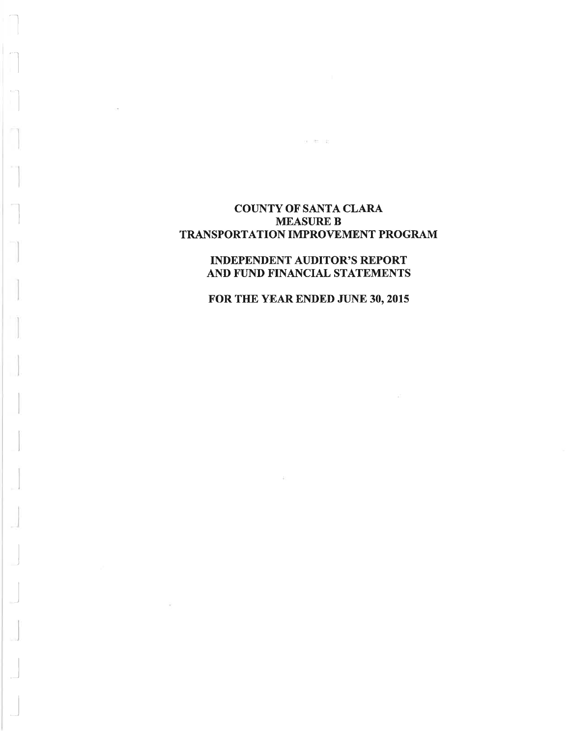''l

I

l

l

l

 $\Box$ 

# INDEPENDENT AUDITOR'S REPORT AND FUND FINANCIAL STATEMENTS

# FOR THE YEAR ENDED JUNE 30, 2015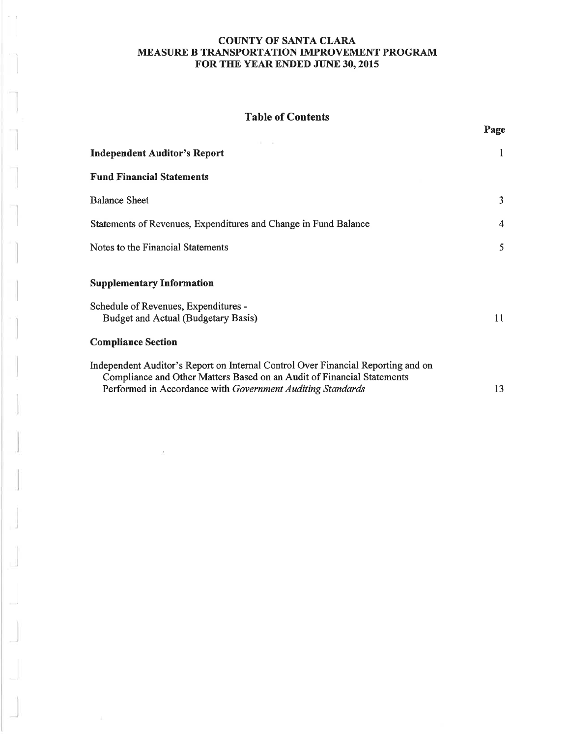## COUNTY OF SANTA CLARA MEASURE B TRANSPORTATION IMPROVEMENT PROGRAM FOR THE YEAR ENDED JUNE 30, 2015

# Table of Contents

Page

| <b>Independent Auditor's Report</b>                                                                                                                                                                                      |    |
|--------------------------------------------------------------------------------------------------------------------------------------------------------------------------------------------------------------------------|----|
| <b>Fund Financial Statements</b>                                                                                                                                                                                         |    |
| <b>Balance Sheet</b>                                                                                                                                                                                                     | 3  |
| Statements of Revenues, Expenditures and Change in Fund Balance                                                                                                                                                          | 4  |
| Notes to the Financial Statements                                                                                                                                                                                        | 5  |
| <b>Supplementary Information</b><br>Schedule of Revenues, Expenditures -<br>Budget and Actual (Budgetary Basis)                                                                                                          | 11 |
| <b>Compliance Section</b>                                                                                                                                                                                                |    |
| Independent Auditor's Report on Internal Control Over Financial Reporting and on<br>Compliance and Other Matters Based on an Audit of Financial Statements<br>Performed in Accordance with Government Auditing Standards | 13 |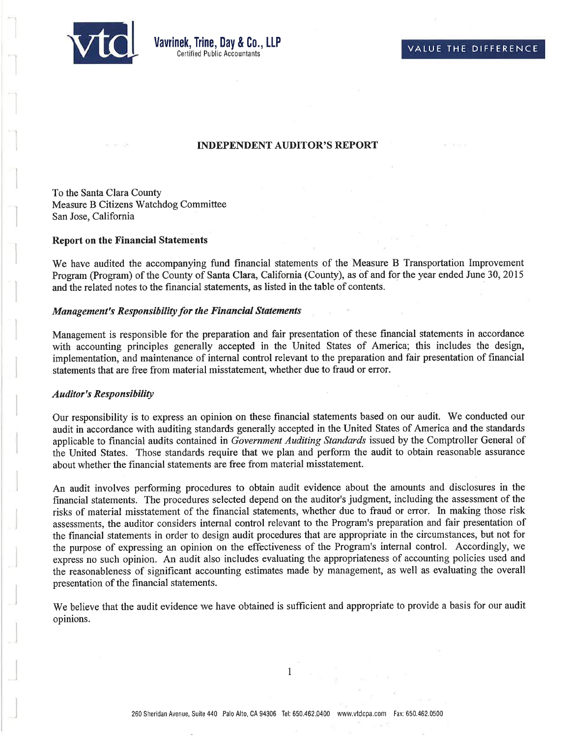

#### INDEPENDENT AUDITOR'S REPORT

To the Santa Clara County Measure B Citizens Watchdog Committee San Jose, California

#### Report on the Financial Statements

We have audited the accompanying fund financial statements of the Measure B Transportation Improvement Program (Program) of the County of Santa Clara, California (County), as of and for the year ended June 30, 2015 and the related notes to the financial statements, as listed in the table of contents.

#### Management's Responsibility for the Financial Statements

Management is responsible for the preparation and fair presentation of these financial statements in accordance with accounting principles generally accepted in the United States of America; this includes the design, implementation, and maintenance of internal control relevant to the preparation and fair presentation of financial statements that are free from material misstatement, whether due to fraud or error.

#### **Auditor's Responsibility**

Our responsibility is to express an opinion on these financial statements based on our audit. We conducted our audit in accordance with auditing standards generally accepted in the United States of America and the standards applicable to financial audits contained in Government Auditing Standards issued by the Comptroller General of the United States. Those standards require that we plan and perform the audit to obtain reasonable assurance about whether the financial statements are free from material misstatement.

An audit involves performing procedures to obtain audit evidence about the amounts and disclosures in the fînancial statements. The procedures selected depend on the auditor's judgment, including the assessment of the risks of material misstatement of the financial statements, whether due to fraud or error. In making those risk assessments, the auditor considers internal control relevant to the Program's preparation and fair presentation of the financial statements in order to design audit procedures that are appropriate in the circumstances, but not for the purpose of expressing an opinion on the effectiveness of the Program's internal control. Accordingly, we express no such opinion. An audit also includes evaluating the appropriateness of accounting policies used and the reasonableness of significant accounting estimates made by management, as well as evaluating the overall presentation of the financial statements.

We believe that the audit evidence we have obtained is sufficient and appropriate to provide a basis for our audit opinions.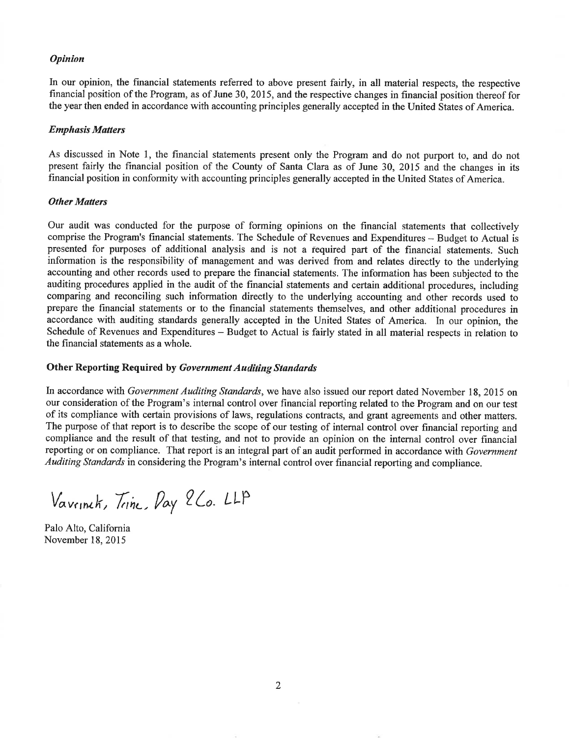#### **Opinion**

In our opinion, the financial statements referred to above present fairly, in all material respects, the respective financial position of the Program, as of June 30,2015, and the respective changes in financial position thereof for the year then ended in accordance with accounting principles generally accepted in the United States of America.

#### **Emphasis Matters**

As discussed in Note 1, the financial statements present only the Program and do not purport to, and do not present fairly the financial position of the County of Santa Clara as of June 30, 2015 and the changes in its financial position in conformity with accounting principles generally accepted in the United States of America.

#### Other Matters

Our audit was conducted for the purpose of forming opinions on the financial statements that collectively comprise the Program's financial statements. The Schedule of Revenues and Expenditures - Budget to Actual is presented for purposes of additional analysis and is not a fequired part of the financial statements. Such information is the responsibility of management and was derived from and relates directly to the underlying accounting and other records used to prepare the financial statements. The information has been subjected to the auditing procedures applied in the audit of the financial statements and certain additional procedures, including comparing and reconciling such information directly to the underlying accounting and other records used to prepare the financial statements or to the financial statements themselves, and other additional procedures in accordance with auditing standards generally accepted in the United States of America. ln our opinion, the Schedule of Revenues and Expenditures - Budget to Actual is fairly stated in all material respects in relation to the financial statements as a whole.

#### Other Reporting Required by Government Auditing Standards

In accordance with Government Auditing Standards, we have also issued our report dated November 18, 2015 on our consideration of the Program's internal control over financial reporting related to the Program and on our test of its compliance with certain provisions of laws, regulations contracts, and grant agreements and other matters. The purpose of that report is to describe the scope of our testing of internal control over financial reporting and compliance and the result of that testing, and not to provide an opinion on the internal control over financial reporting or on compliance. That report is an integral part of an audit performed in accordance with Government Auditing Standards in considering the Program's internal control over financial reporting and compliance.

Vavrinck, Trine, Day 2 Co. LLP

Palo Alto, California November 18,2015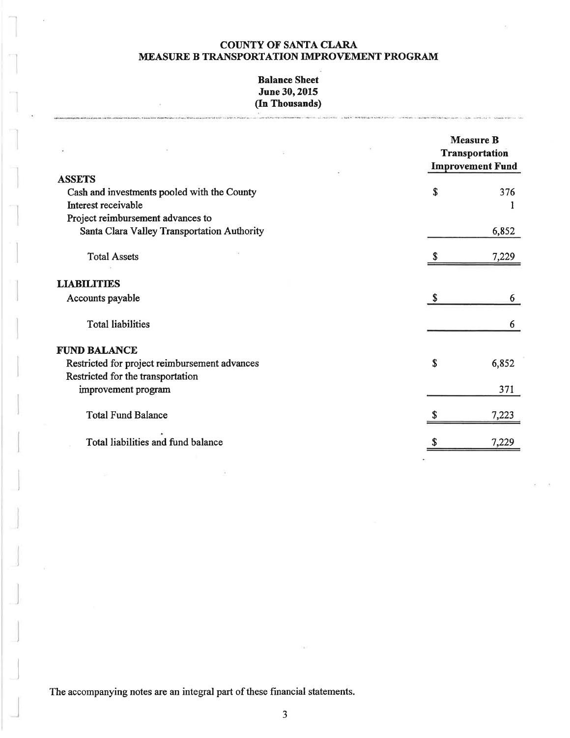# Balance Sheet June 30,2015 (In Thousands)

the constitution of the constitution of the

|                                               |    | <b>Measure B</b><br><b>Transportation</b><br><b>Improvement Fund</b> |  |  |
|-----------------------------------------------|----|----------------------------------------------------------------------|--|--|
| <b>ASSETS</b>                                 |    |                                                                      |  |  |
| Cash and investments pooled with the County   | \$ | 376                                                                  |  |  |
| Interest receivable                           |    | 1                                                                    |  |  |
| Project reimbursement advances to             |    |                                                                      |  |  |
| Santa Clara Valley Transportation Authority   |    | 6,852                                                                |  |  |
| <b>Total Assets</b>                           |    | 7,229                                                                |  |  |
| <b>LIABILITIES</b>                            |    |                                                                      |  |  |
| Accounts payable                              | S  | 6                                                                    |  |  |
| <b>Total liabilities</b>                      |    | 6                                                                    |  |  |
| <b>FUND BALANCE</b>                           |    |                                                                      |  |  |
| Restricted for project reimbursement advances | \$ | 6,852                                                                |  |  |
| Restricted for the transportation             |    |                                                                      |  |  |
| improvement program                           |    | 371                                                                  |  |  |
| <b>Total Fund Balance</b>                     |    | 7,223                                                                |  |  |
| Total liabilities and fund balance            |    | 7,229                                                                |  |  |
|                                               |    |                                                                      |  |  |

The accompanying notes are an integral part of these financial statements.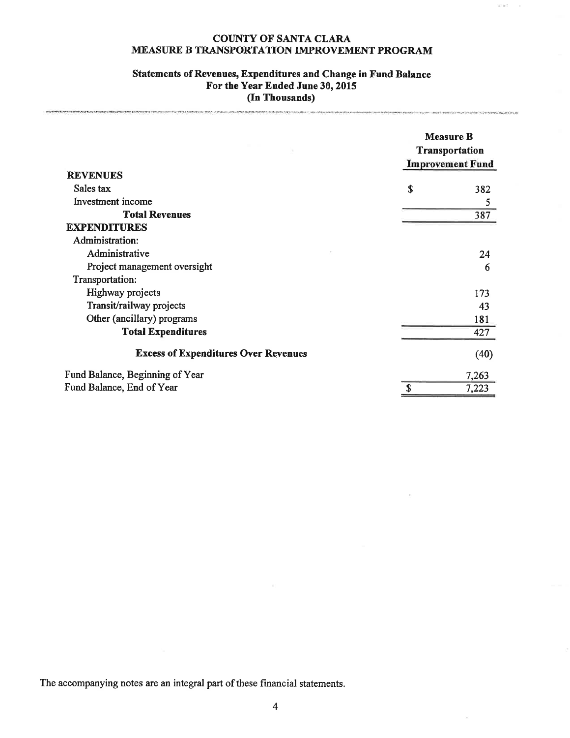$\pm 0.02$  $\sim$ 

# Statements of Revenues, Expenditures and Change in Fund Balance For the Year Ended June 30,2015 (fn Thousands)

.<br>Naskiĝis kaj la provincia de la filma de la filma de la filma de la filma de la filma de la filma de la filma

|                                             | <b>Measure B</b><br><b>Transportation</b><br><b>Improvement Fund</b> |
|---------------------------------------------|----------------------------------------------------------------------|
| <b>REVENUES</b>                             |                                                                      |
| Sales tax                                   | \$<br>382                                                            |
| Investment income                           | 5                                                                    |
| <b>Total Revenues</b>                       | 387                                                                  |
| <b>EXPENDITURES</b>                         |                                                                      |
| Administration:                             |                                                                      |
| Administrative                              | 24                                                                   |
| Project management oversight                | 6                                                                    |
| Transportation:                             |                                                                      |
| Highway projects                            | 173                                                                  |
| Transit/railway projects                    | 43                                                                   |
| Other (ancillary) programs                  | 181                                                                  |
| <b>Total Expenditures</b>                   | 427                                                                  |
| <b>Excess of Expenditures Over Revenues</b> | (40)                                                                 |
| Fund Balance, Beginning of Year             | 7,263                                                                |
| Fund Balance, End of Year                   | 7,223                                                                |

The accompanying notes are an integral part of these financial statements.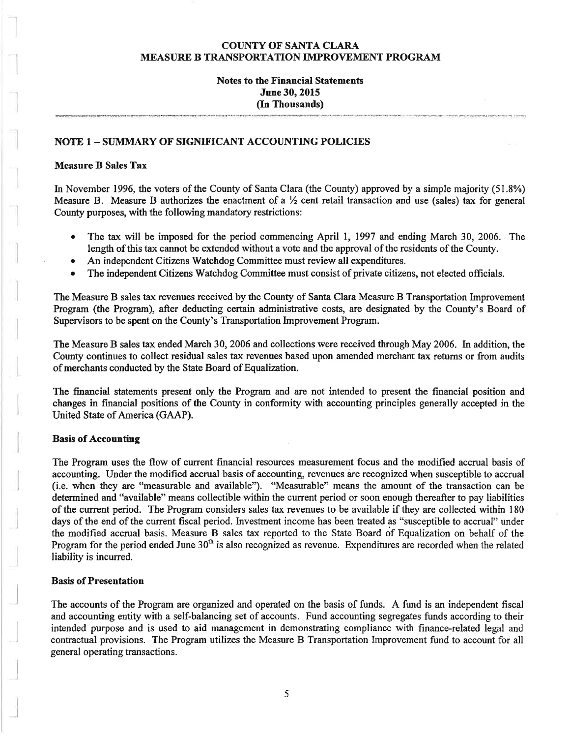# Notes to the Financial Statements June 30, 2015 (In Thousands)

#### NOTE 1 - SUMMARY OF SIGNIFICANT ACCOUNTING POLICIES

#### Measure B Sales Tax

In November 1996, the voters of the County of Santa Clara (the County) approved by a simple majority (51.8%) Measure B. Measure B authorizes the enactment of a  $\frac{1}{2}$  cent retail transaction and use (sales) tax for general County purposes, with the following mandatory restrictions:

- . The tax will be imposed for the period commencing April I, 1997 and ending March 30,2006. The length of this tax cannot bc cxtcndcd without a votc and thc approval of thc rcsidcnts of the County.
- An independent Citizens Watchdog Committee must review all expenditures.
- . The independent Citizens Watchdog Committee must consist of private citizens, not elected officials.

The Measure B sales tax revenues received by the County of Santa Clara Measure B Transportation Improvement Program (the Program), after deducting certain administrative costs, are designated by the County's Board of Supervisors to be spent on the County's Transportation Improvement Program.

The Measure B sales tax ended March 30,2006 and collections were received through May 2006. In addition, the County continues to collect residual sales tax revenues based upon amended merchant tax returns or from audits of merchants conducted by the State Board of Equalization.

The financial statements present only the Program and are not intended to present the financial position and changes in financial positions of the County in conformity with accounting principles generally accepted in the United State of America (GAAP).

#### Basis of Accounting

The Program uses the flow of current financial resources measurement focus and the modified accrual basis of accounting. Under the modified accrual basis of accounting, revenues are recognized when susceptible to accrual (i.e. when they are "measurable and available"). "Measurable" means the amount of the transaction can be determined and "available" means collectible within the current period or soon enough thereafter to pay liabilities of the current period. The Program considers sales tax revenues to be available if they are collected within 180 days of the end of the current fiscal period. Investment income has been treated as "susceptible to accrual" under the modified accrual basis. Measure B sales tax reported to the State Board of Equalization on behalf of the Program for the period ended June  $30<sup>th</sup>$  is also recognized as revenue. Expenditures are recorded when the related liability is incurred.

#### Basis of Presentation

The accounts of the Program are organized and operated on the basis of funds. A fund is an independent fiscal and accounting entity with a self-balancing set of accounts. Fund accounting segregates funds according to their intended purpose and is used to aid management in demonstrating compliance with finance-related legal and contractual provisions. The Program utilizes the Measure B Transportation Improvement fund to account for all general operating transactions.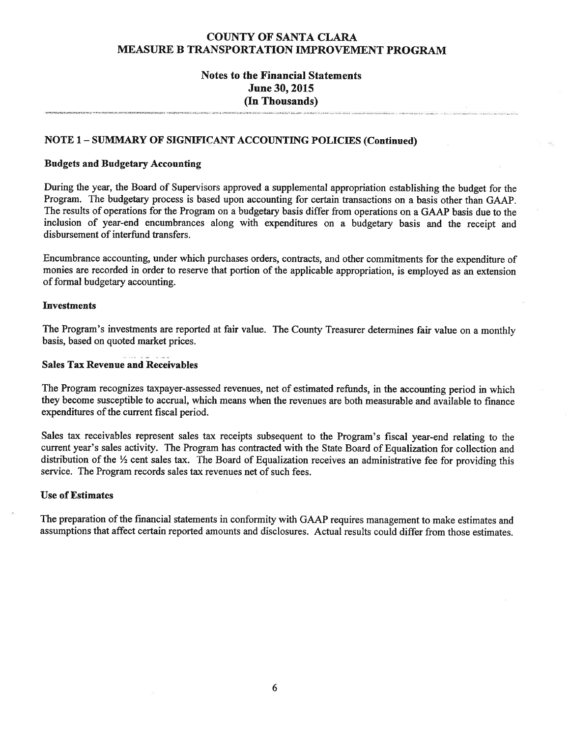# Notes to the Financial Statements June 30,2015 (In Thousands)

#### NOTE 1 - SUMMARY OF SIGNIFICANT ACCOUNTING POLICIES (Continued)

#### Budgets and Budgetary Accounting

During the year, the Board of Supervisors approved a supplemental appropriation establishing the budget for the Program. The budgetary process is based upon accounting for certain transactions on a basis other than GAAP. The results of operations for the Program on a budgetary basis differ from operations on a GAAP basis due to the inclusion of year-end encumbrances along with expenditures on a budgetary basis and the receipt and disbursement of interfund transfers.

Encumbrance accounting, under which purchases orders, contracts, and other commitments for the expenditure of monies are recorded in order to reserve that portion of the applicable appropriation, is employed as an extension of formal budgetary accounting.

#### Investments

The Program's investments are reported at fair value. The County Treasurer determines fair value on a monthly basis, based on quoted market prices.

#### Sales Tax Revenue and Receivables

The Program recognizes taxpayer-assessed revenues, net of estimated refunds, in the accounting period in which they become susceptible to accrual, which means when the revenues are both measurable and available to finance expenditures of the current fiscal period.

Sales tax receivables represent sales tax receipts subsequent to the Program's fîscal year-end relating to the current year's sales activity. The Program has contracted with the State Board of Equalization for collection and distribution of the 1/2 cent sales tax. The Board of Equalization receives an administrative fee for providing this service. The Program records sales tax revenues net of such fees.

#### Use of Estimates

The preparation of the financial statements in conformity with GAAP requires management to make estimates and assumptions that affect certain reported amounts and disclosures. Actual results could differ from those estimates.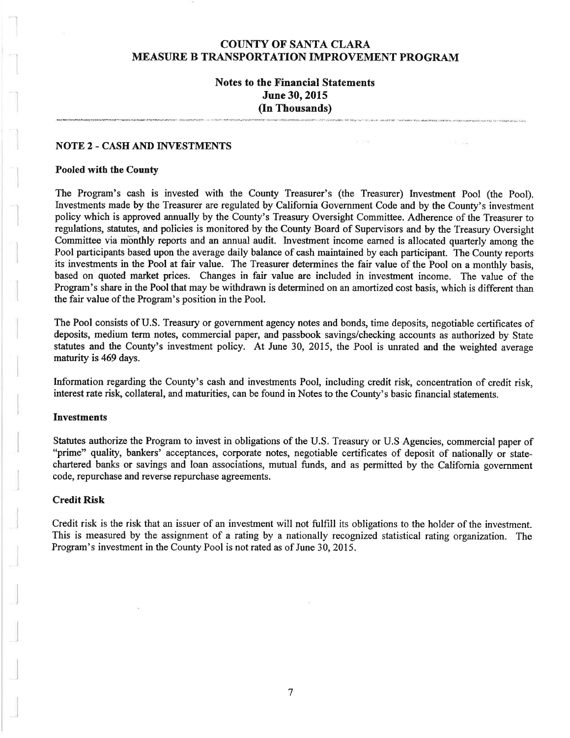# Notes to the Financial Statements June 30,2015 (In Thousands)

#### NOTE 2 - CASH AND INVESTMENTS

#### Pooled with the County

The Program's cash is invested with the County Treasurer's (the Treasurer) Investment Pool (the Pool). Investments made by the Treasurer are regulated by California Government Code and by the County's investment policy which is approved annually by the County's Treasury Oversight Committee. Adherence of the Treasurer to regulations, statutes, and policies is monitored by the County Board of Supervisors and by the Treasury Oversight Committee via mónthly reports and an annual audit. lnvestment income earned is allocated quarterly among the Pool participants based upon the average daily balance of cash maintained by each participant. The County reports its investments in the Pool at fair value. The Treasurer determines the fair value of the Pool on a monthly basis, based on quoted market prices. Changes in fair value are included in investment income. The value of the Program's share in the Pool that may be withdrawn is determined on an amortized cost basis, which is different than the fair value of the Program's position in the Pool.

The Pool consists of U.S. Treasury or government agency notes and bonds, time deposits, negotiable certificates of deposits, medium terrn notes, commercial paper, and passbook savings/checking accounts as authorized by State statutes and the County's investment policy. At June 30, 2015, the Pool is unrated and the weighted average maturity is 469 days.

Information regarding the County's cash and investments Pool, including credit risk, concentration of credit risk, interest rate risk, collateral, and maturities, can be found in Notes to the County's basic financial statements.

#### **Investments**

Statutes authorize the Program to invest in obligations of the U.S. Treasury or U.S Agencies, commercial paper of "prime" quality, bankers' acceptances, corporate notes, negotiable certificates of deposit of nationally or statechartered banks or savings and loan associations, mutual funds, and as permitted by the California government code, repurchase and reverse repurchase agreements.

#### Credit Risk

Credit risk is the risk that an issuer of an investment will not fulfill its obligations to the holder of the investment. This is measured by the assignment of a rating by a nationally recognized statistical rating organization. The Program's investment in the County Pool is not rated as of June 30, 2015 .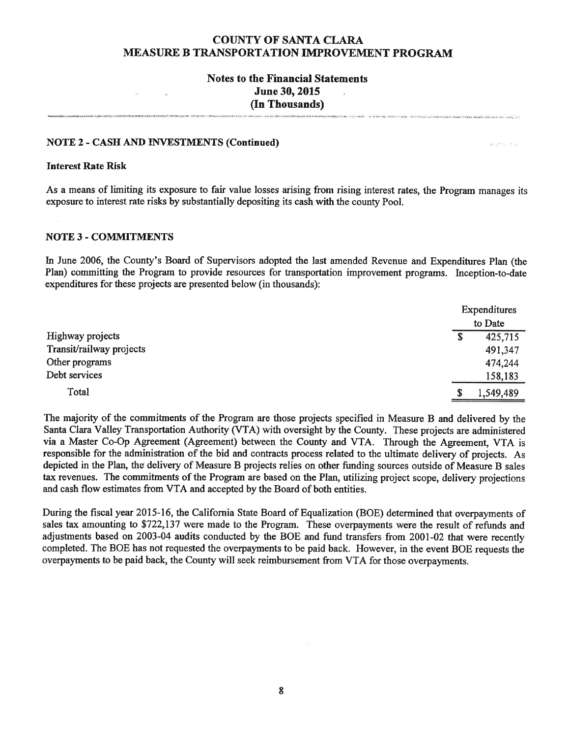# Notes to the Financial Statements June 30,2015 (In Thousands)

Attorney of a

#### NOTE 2 - CASH AND INVESTMENTS (Continued)

#### **Interest Rate Risk**

As a means of limiting its exposure to fair value losses arising from rising interest rates, the Program manages its exposure to interest rate risks by substantially depositing its cash with the county Pool.

#### NOTE 3 - COMMITMENTS

In June 2006, the County's Board of Supervisors adopted the last amended Revenue and Expenditures Plan (the Plan) committing the Program to provide resources for transportation improvement programs. Inception-to-date expenditures for these projects are presented below (in thousands):

|                          |    | Expenditures<br>to Date |  |
|--------------------------|----|-------------------------|--|
|                          |    |                         |  |
| Highway projects         | \$ | 425,715                 |  |
| Transit/railway projects |    | 491,347                 |  |
| Other programs           |    | 474,244                 |  |
| Debt services            |    | 158,183                 |  |
| Total                    | S  | 1,549,489               |  |

The majority of the commitments of the Program are those projects specified in Measure B and delivered by the Santa Clara Valley Transportation Authority (VTA) with oversight by the County. These projects are administered via a Master Co-Op Agreement (Agreement) between the County and VTA. Through the Agreement, VTA is responsible for the administration of the bid and contracts process related to the ultimate delivery of projects. As depicted in the PIan, the delivery of Measure B projects relies on other funding sources outside of Measure B sales tax revenues. The commitments of the Program are based on the Plan, utilizing project scope, delivery projections and cash flow estimates from VTA and accepted by the Board of both entities.

During the fiscal year 2015-16, the Califomia State Board of Equalization (BOE) determined that overpayments of sales tax amounting to \$722,137 were made to the Program. These overpayments were the result of refunds and adjustments based on 2003-04 audits conducted by the BOE and fund transfers from 2001-02 that were recently completed. The BOE has not requested the overpayments to be paid back. However, in the event BOE requests the overpayments to be paid back, the County will seek reimbursement from VTA for those overpayments.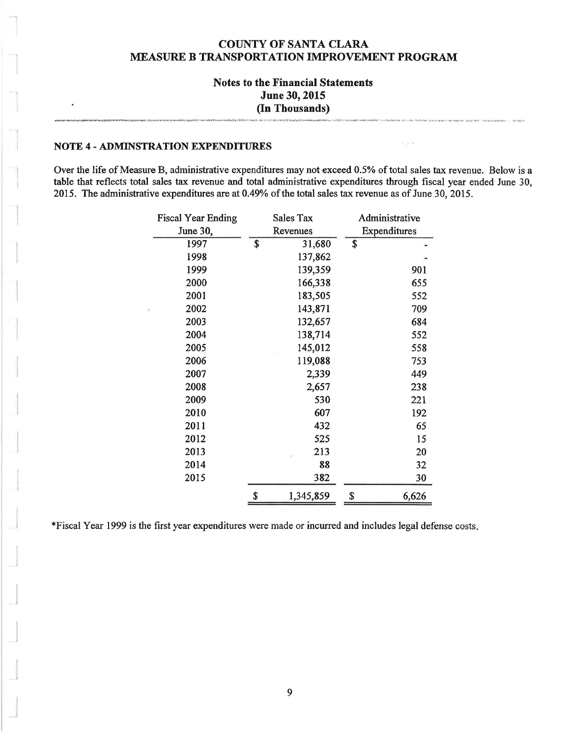# Notes to the Financial Statements June 30,2015 (In Thousands)

#### NOTE 4 - ADMINSTRATION EXPENDITURES

Over the life of Measure B, administrative expenditures may not exceed 0.5% of total sales tax revenue. Below is a table that reflects total sales tax revenue and total administrative expenditures through fiscal year ended June 30, 2015. The administrative expenditures are at 0.49% of the total sales tax revenue as of June 30, 2015.

 $Z = 16$ 

| <b>Fiscal Year Ending</b> | Sales Tax |           | Administrative            |
|---------------------------|-----------|-----------|---------------------------|
| June 30,                  |           | Revenues  | Expenditures              |
| 1997                      | \$        | 31,680    | $\boldsymbol{\mathsf{S}}$ |
| 1998                      |           | 137,862   |                           |
| 1999                      |           | 139,359   | 901                       |
| 2000                      |           | 166,338   | 655                       |
| 2001                      |           | 183,505   | 552                       |
| 2002                      |           | 143,871   | 709                       |
| 2003                      |           | 132,657   | 684                       |
| 2004                      |           | 138,714   | 552                       |
| 2005                      |           | 145,012   | 558                       |
| 2006                      |           | 119,088   | 753                       |
| 2007                      |           | 2,339     | 449                       |
| 2008                      |           | 2,657     | 238                       |
| 2009                      |           | 530       | 221                       |
| 2010                      |           | 607       | 192                       |
| 2011                      |           | 432       | 65                        |
| 2012                      |           | 525       | 15                        |
| 2013                      |           | 213       | 20                        |
| 2014                      |           | 88        | 32                        |
| 2015                      |           | 382       | 30                        |
|                           | \$        | 1,345,859 | \$<br>6,626               |

\*Fiscal Year 1999 is the first year expenditures were made or incurred and includes legal defense costs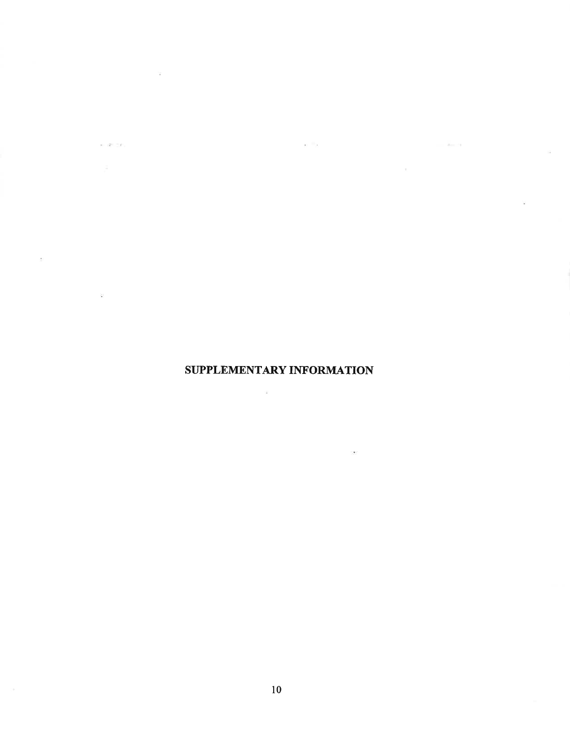# SUPPLEMENTARY INFORMATION

 $\sim$ 

 $\omega_{\rm c}$  . Then

 $-40 - 10$ 

 $\sim 10^{-1}$ 

¥,

 $\mathcal{C} \in \mathcal{C}^{\infty}(\mathbb{C},\mathbb{R})$ 

 $\frac{1}{2}$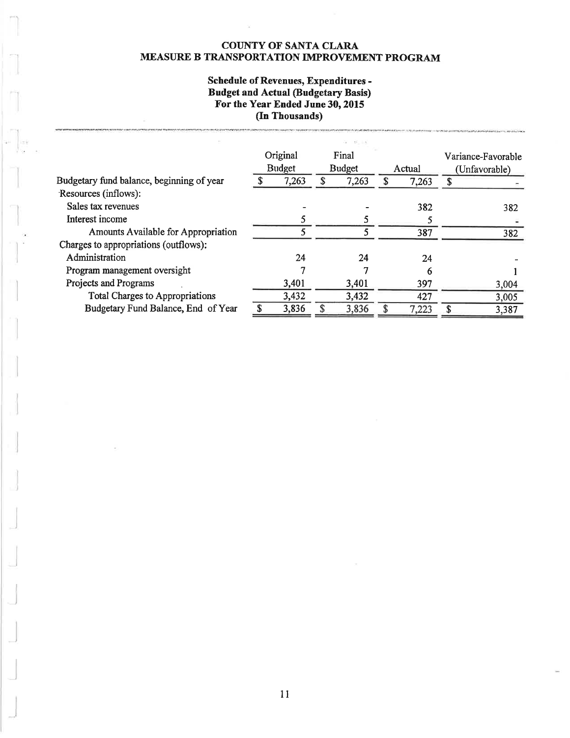#### Schedule of Revenues, Expenditures - **Budget and Actual (Budgetary Basis)** For the Year Ended June 30, 2015 (In Thousands)

.<br>National contract of a series of them a let us to be a substantial contract of the

|                                           |    | Original<br><b>Budget</b> |    | Final<br><b>Budget</b> |   | Actual |  | Variance-Favorable<br>(Unfavorable) |  |
|-------------------------------------------|----|---------------------------|----|------------------------|---|--------|--|-------------------------------------|--|
| Budgetary fund balance, beginning of year |    | 7,263                     | \$ | 7,263                  | S | 7,263  |  |                                     |  |
| Resources (inflows):                      |    |                           |    |                        |   |        |  |                                     |  |
| Sales tax revenues                        |    |                           |    |                        |   | 382    |  | 382                                 |  |
| Interest income                           |    |                           |    |                        |   |        |  |                                     |  |
| Amounts Available for Appropriation       |    |                           |    |                        |   | 387    |  | 382                                 |  |
| Charges to appropriations (outflows).     |    |                           |    |                        |   |        |  |                                     |  |
| Administration                            |    | 24                        |    | 24                     |   | 24     |  |                                     |  |
| Program management oversight              |    |                           |    |                        |   | h      |  |                                     |  |
| Projects and Programs                     |    | 3,401                     |    | 3,401                  |   | 397    |  | 3,004                               |  |
| Total Charges to Appropriations           |    | 3,432                     |    | 3,432                  |   | 427    |  | 3,005                               |  |
| Budgetary Fund Balance, End of Year       | \$ | 3,836                     |    | 3,836                  |   | 7,223  |  | 3,387                               |  |
|                                           |    |                           |    |                        |   |        |  |                                     |  |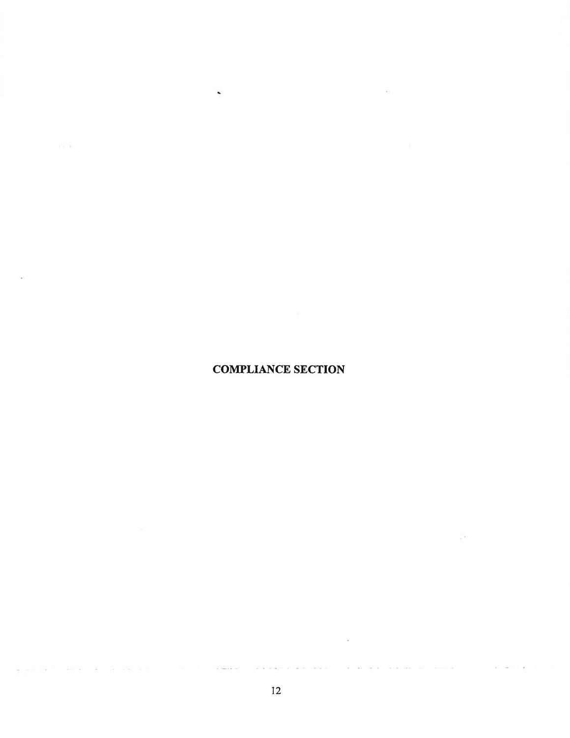# **COMPLIANCE SECTION**

 $\overline{\phantom{a}}$ 

The County

 $\overline{\mathbf{h}}$  (

 $\tau_{\rm e}^{-1}$ 

 $-12$ 

 $\label{eq:1.1} \widehat{\mathcal{R}}=\mathcal{L}\widehat{\Phi}\left(\left\|\widehat{\mathbf{q}}\right\|-\mathcal{L}\widehat{\Phi}\left(\widehat{\mathbf{q}}\right)\right)=0.$ 

 $\mathcal{V}$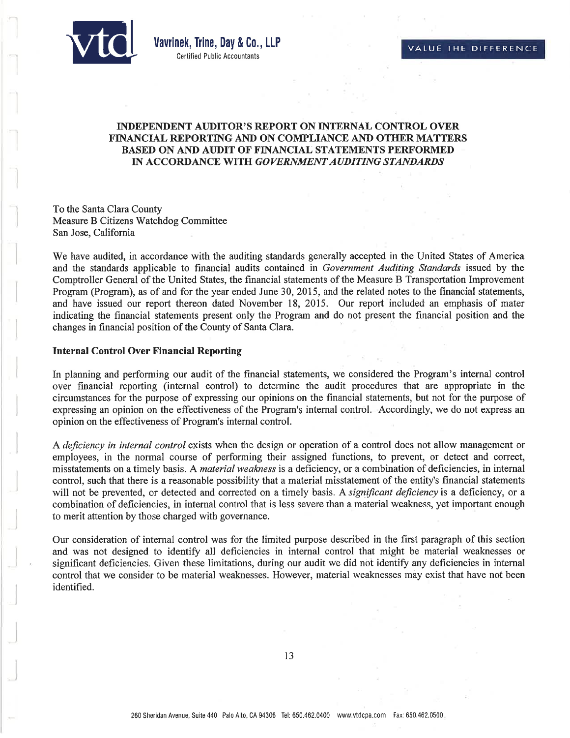

#### INDEPENDENT AUDITOR'S REPORT ON INTERNAL CONTROL OVER FINANCIAL REPORTING AND ON COMPLIANCE AND OTHER MATTERS BASED ON AND AUDIT OF FINANCIAL STATEMENTS PERFORMED IN ACCORDANCE WITH GOVERNMENT AUDITING STANDARDS

To the Santa Clara County Measure B Citizens Watchdog Committee San Jose, California

We have audited, in accordance with the auditing standards generally accepted in the United States of America and the standards applicable to financial audits contained in *Government Auditing Standards* issued by the Comptroller General of the United States, the financial statements of the Measure B Transportation Improvement Program (Program), as of and for the year ended June 30, 2015, and the related notes to the financial statements, and have issued our report thereon dated November 18, 2015. Our report included an emphasis of mater indicating the financial statements present only the Program and do not present the financial position and the changes in financial position of the County of Santa Clara.

#### Internal Control Over Financial Reporting

In planning and performing our audit of the financial statements, we considered the Program's internal control over financial reporting (internal control) to determine the audit procedures that are appropriate in the circumstances for the purpose of expressing our opinions on the financial statements, but not for the purpose of expressing an opinion on the effectiveness of the Program's internal control. Accordingly, we do not express an opinion on the effectiveness of Program's internal control.

A deficiency in internal control exists when the design or operation of a control does not allow management or employees, in the normal course of performing their assigned functions, to prevent, or detect and correct, misstatements on a timely basis. A *material weakness* is a deficiency, or a combination of deficiencies, in internal control, such that there is a reasonable possibility that a material misstatement of the entity's financial statements will not be prevented, or detected and corrected on a timely basis. A significant deficiency is a deficiency, or a combination of deficiencies, in internal control that is less severe than a material weakness, yet important enough to merit attention by those charged with governance.

Our consideration of internal control was for the limited purpose described in the frrst paragraph of this section and was not designed to identify all deficiencies in internal control that might be material weaknesses or significant deficiencies. Given these limitations, during our audit we did not identify any deficiencies in internal control that we consider to be material weaknesses. However, material weaknesses may exist that have not been identified.